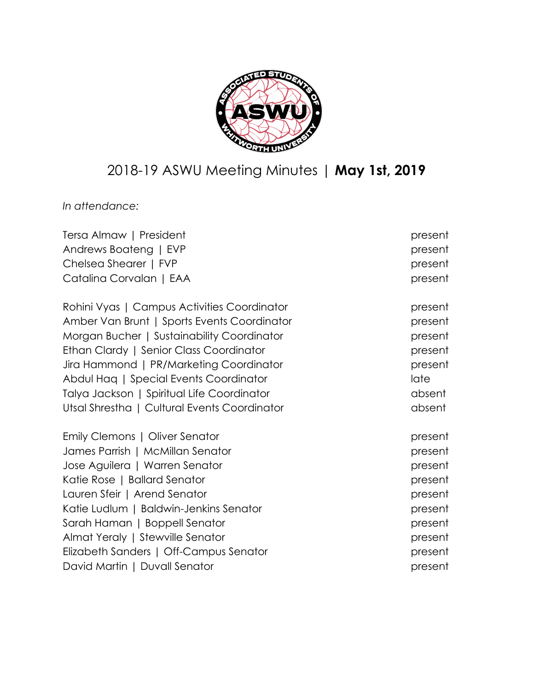

# 2018-19 ASWU Meeting Minutes | **May 1st, 2019**

*In attendance:*

| Tersa Almaw   President                      | present |
|----------------------------------------------|---------|
| Andrews Boateng   EVP                        | present |
| Chelsea Shearer   FVP                        | present |
| Catalina Corvalan   EAA                      | present |
| Rohini Vyas   Campus Activities Coordinator  | present |
| Amber Van Brunt   Sports Events Coordinator  | present |
| Morgan Bucher   Sustainability Coordinator   | present |
| Ethan Clardy   Senior Class Coordinator      | present |
| Jira Hammond   PR/Marketing Coordinator      | present |
| Abdul Haq   Special Events Coordinator       | late    |
| Talya Jackson   Spiritual Life Coordinator   | absent  |
| Utsal Shrestha   Cultural Events Coordinator | absent  |
| Emily Clemons   Oliver Senator               | present |
| James Parrish   McMillan Senator             | present |
| Jose Aguilera   Warren Senator               | present |
| Katie Rose   Ballard Senator                 | present |
| Lauren Sfeir   Arend Senator                 | present |
| Katie Ludlum   Baldwin-Jenkins Senator       | present |
| Sarah Haman   Boppell Senator                | present |
| Almat Yeraly   Stewville Senator             | present |
| Elizabeth Sanders   Off-Campus Senator       | present |
| David Martin   Duvall Senator                | present |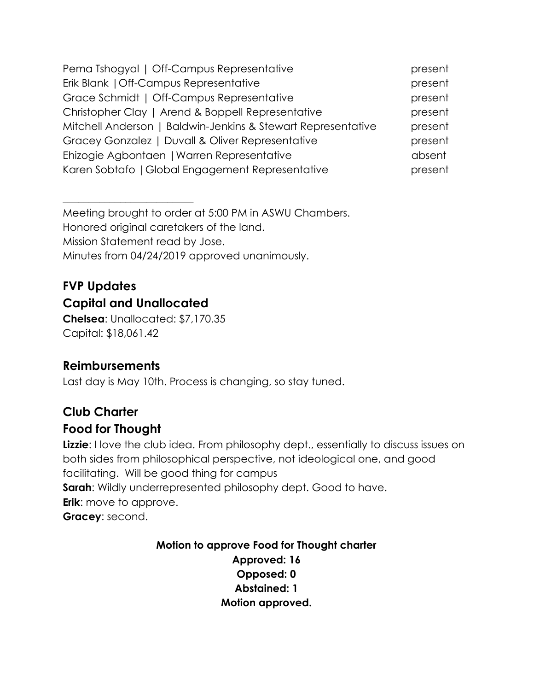| Pema Tshogyal   Off-Campus Representative                    | present |
|--------------------------------------------------------------|---------|
| Erik Blank   Off-Campus Representative                       | present |
| Grace Schmidt   Off-Campus Representative                    | present |
| Christopher Clay   Arend & Boppell Representative            | present |
| Mitchell Anderson   Baldwin-Jenkins & Stewart Representative | present |
| Gracey Gonzalez   Duvall & Oliver Representative             | present |
| Ehizogie Agbontaen   Warren Representative                   | absent  |
| Karen Sobtafo   Global Engagement Representative             | present |

Meeting brought to order at 5:00 PM in ASWU Chambers. Honored original caretakers of the land. Mission Statement read by Jose. Minutes from 04/24/2019 approved unanimously.

# **FVP Updates Capital and Unallocated**

 $\overline{\phantom{a}}$  , where  $\overline{\phantom{a}}$  , where  $\overline{\phantom{a}}$  , where  $\overline{\phantom{a}}$  , where  $\overline{\phantom{a}}$ 

**Chelsea**: Unallocated: \$7,170.35 Capital: \$18,061.42

# **Reimbursements**

Last day is May 10th. Process is changing, so stay tuned.

# **Club Charter Food for Thought**

**Lizzie**: I love the club idea. From philosophy dept., essentially to discuss issues on both sides from philosophical perspective, not ideological one, and good facilitating. Will be good thing for campus **Sarah:** Wildly underrepresented philosophy dept. Good to have. **Erik**: move to approve. **Gracey**: second.

> **Motion to approve Food for Thought charter Approved: 16 Opposed: 0 Abstained: 1 Motion approved.**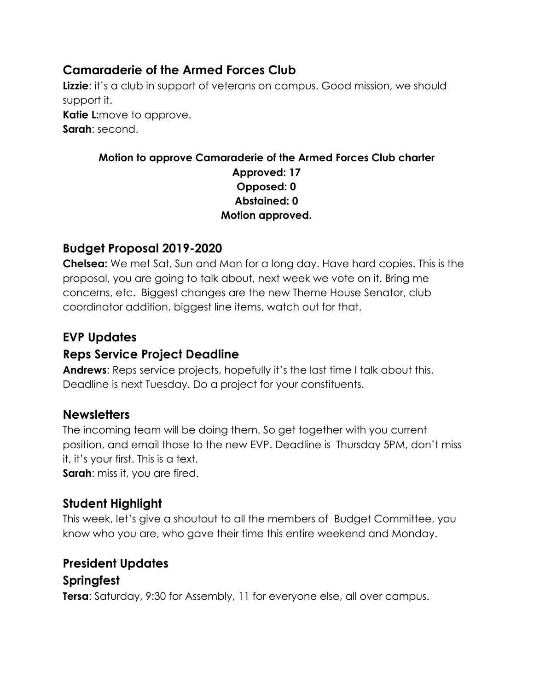# **Camaraderie of the Armed Forces Club**

**Lizzie:** it's a club in support of veterans on campus. Good mission, we should support it. **Katie L:**move to approve. **Sarah**: second.

#### **Motion to approve Camaraderie of the Armed Forces Club charter Approved: 17 Opposed: 0 Abstained: 0 Motion approved.**

# **Budget Proposal 2019-2020**

**Chelsea:** We met Sat, Sun and Mon for a long day. Have hard copies. This is the proposal, you are going to talk about, next week we vote on it. Bring me concerns, etc. Biggest changes are the new Theme House Senator, club coordinator addition, biggest line items, watch out for that.

# **EVP Updates**

# **Reps Service Project Deadline**

**Andrews**: Reps service projects, hopefully it's the last time I talk about this. Deadline is next Tuesday. Do a project for your constituents.

# **Newsletters**

The incoming team will be doing them. So get together with you current position, and email those to the new EVP. Deadline is Thursday 5PM, don't miss it, it's your first. This is a text.

**Sarah**: miss it, you are fired.

# **Student Highlight**

This week, let's give a shoutout to all the members of Budget Committee, you know who you are, who gave their time this entire weekend and Monday.

# **President Updates**

#### **Springfest**

**Tersa**: Saturday, 9:30 for Assembly, 11 for everyone else, all over campus.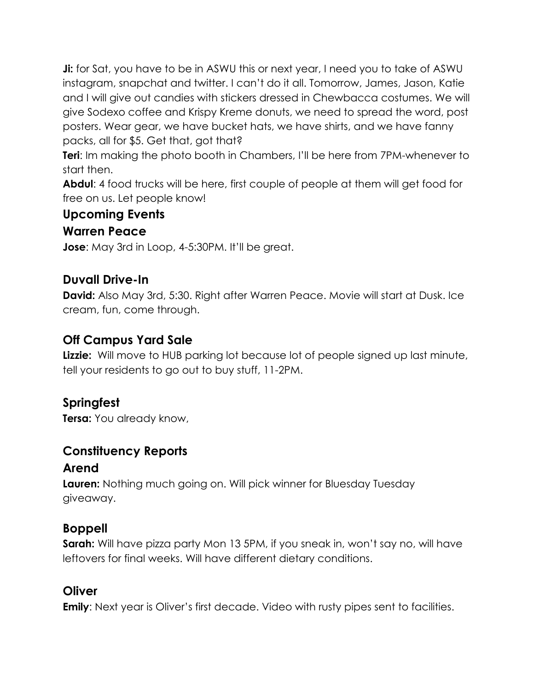**Ji:** for Sat, you have to be in ASWU this or next year, I need you to take of ASWU instagram, snapchat and twitter. I can't do it all. Tomorrow, James, Jason, Katie and I will give out candies with stickers dressed in Chewbacca costumes. We will give Sodexo coffee and Krispy Kreme donuts, we need to spread the word, post posters. Wear gear, we have bucket hats, we have shirts, and we have fanny packs, all for \$5. Get that, got that?

**Teri**: Im making the photo booth in Chambers, I'll be here from 7PM-whenever to start then.

**Abdul**: 4 food trucks will be here, first couple of people at them will get food for free on us. Let people know!

#### **Upcoming Events**

#### **Warren Peace**

**Jose**: May 3rd in Loop, 4-5:30PM. It'll be great.

#### **Duvall Drive-In**

**David:** Also May 3rd, 5:30. Right after Warren Peace. Movie will start at Dusk. Ice cream, fun, come through.

#### **Off Campus Yard Sale**

**Lizzie:** Will move to HUB parking lot because lot of people signed up last minute, tell your residents to go out to buy stuff, 11-2PM.

#### **Springfest**

**Tersa:** You already know,

#### **Constituency Reports**

#### **Arend**

**Lauren:** Nothing much going on. Will pick winner for Bluesday Tuesday giveaway.

#### **Boppell**

**Sarah:** Will have pizza party Mon 13 5PM, if you sneak in, won't say no, will have leftovers for final weeks. Will have different dietary conditions.

#### **Oliver**

**Emily**: Next year is Oliver's first decade. Video with rusty pipes sent to facilities.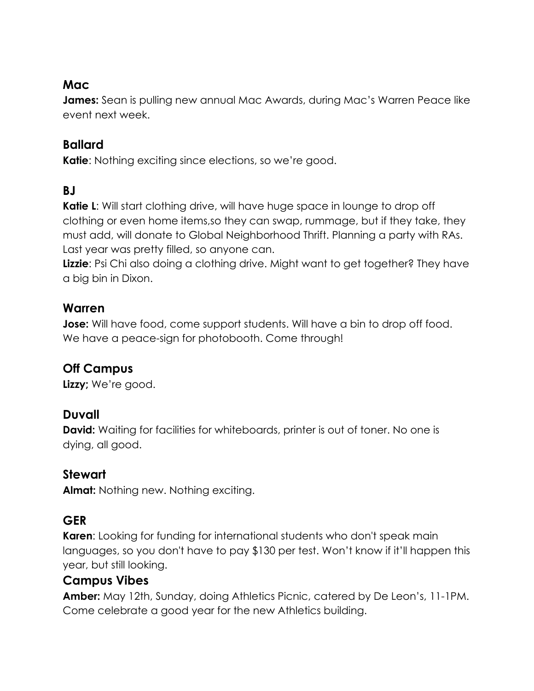# **Mac**

James: Sean is pulling new annual Mac Awards, during Mac's Warren Peace like event next week.

# **Ballard**

**Katie:** Nothing exciting since elections, so we're good.

# **BJ**

**Katie L:** Will start clothing drive, will have huge space in lounge to drop off clothing or even home items,so they can swap, rummage, but if they take, they must add, will donate to Global Neighborhood Thrift. Planning a party with RAs. Last year was pretty filled, so anyone can.

**Lizzie**: Psi Chi also doing a clothing drive. Might want to get together? They have a big bin in Dixon.

## **Warren**

**Jose:** Will have food, come support students. Will have a bin to drop off food. We have a peace-sign for photobooth. Come through!

# **Off Campus**

**Lizzy;** We're good.

# **Duvall**

**David:** Waiting for facilities for whiteboards, printer is out of toner. No one is dying, all good.

# **Stewart**

**Almat:** Nothing new. Nothing exciting.

# **GER**

**Karen**: Looking for funding for international students who don't speak main languages, so you don't have to pay \$130 per test. Won't know if it'll happen this year, but still looking.

#### **Campus Vibes**

**Amber:** May 12th, Sunday, doing Athletics Picnic, catered by De Leon's, 11-1PM. Come celebrate a good year for the new Athletics building.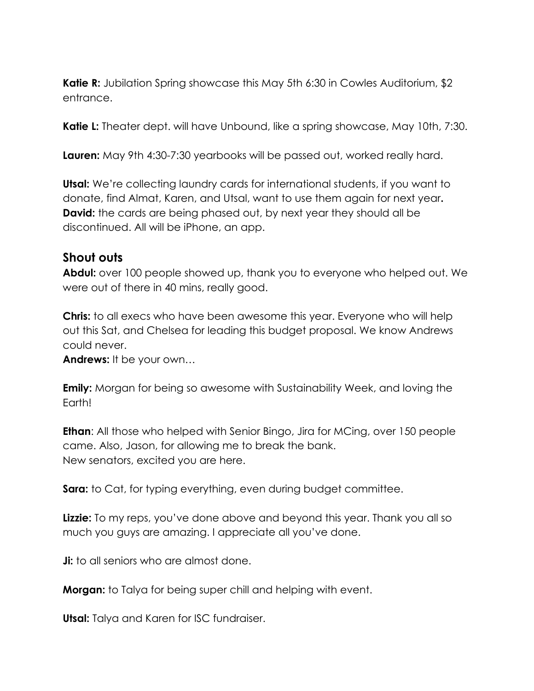**Katie R:** Jubilation Spring showcase this May 5th 6:30 in Cowles Auditorium, \$2 entrance.

**Katie L:** Theater dept. will have Unbound, like a spring showcase, May 10th, 7:30.

**Lauren:** May 9th 4:30-7:30 yearbooks will be passed out, worked really hard.

**Utsal:** We're collecting laundry cards for international students, if you want to donate, find Almat, Karen, and Utsal, want to use them again for next year**. David:** the cards are being phased out, by next year they should all be discontinued. All will be iPhone, an app.

#### **Shout outs**

**Abdul:** over 100 people showed up, thank you to everyone who helped out. We were out of there in 40 mins, really good.

**Chris:** to all execs who have been awesome this year. Everyone who will help out this Sat, and Chelsea for leading this budget proposal. We know Andrews could never.

**Andrews:** It be your own…

**Emily:** Morgan for being so awesome with Sustainability Week, and loving the Earth!

**Ethan**: All those who helped with Senior Bingo, Jira for MCing, over 150 people came. Also, Jason, for allowing me to break the bank. New senators, excited you are here.

**Sara:** to Cat, for typing everything, even during budget committee.

**Lizzie:** To my reps, you've done above and beyond this year. Thank you all so much you guys are amazing. I appreciate all you've done.

**Ji:** to all seniors who are almost done.

**Morgan:** to Talya for being super chill and helping with event.

**Utsal:** Talya and Karen for ISC fundraiser.